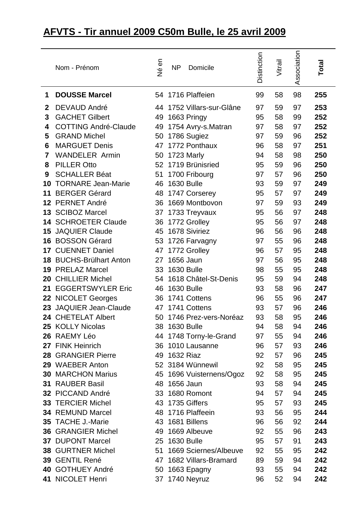## **AFVTS - Tir annuel 2009 C50m Bulle, le 25 avril 2009**

|                  | Nom - Prénom                | Né en | <b>NP</b>         | Domicile                  | Distinction | Vitrail | Association | Total |
|------------------|-----------------------------|-------|-------------------|---------------------------|-------------|---------|-------------|-------|
| 1                | <b>DOUSSE Marcel</b>        |       |                   | 54 1716 Plaffeien         | 99          | 58      | 98          | 255   |
| $\boldsymbol{2}$ | <b>DEVAUD André</b>         |       |                   | 44 1752 Villars-sur-Glâne | 97          | 59      | 97          | 253   |
| 3                | <b>GACHET Gilbert</b>       | 49    |                   | 1663 Pringy               | 95          | 58      | 99          | 252   |
| 4                | <b>COTTING André-Claude</b> | 49    |                   | 1754 Avry-s.Matran        | 97          | 58      | 97          | 252   |
| 5                | <b>GRAND Michel</b>         | 50    |                   | 1786 Sugiez               | 97          | 59      | 96          | 252   |
| 6                | <b>MARGUET Denis</b>        | 47    |                   | 1772 Ponthaux             | 96          | 58      | 97          | 251   |
| 7                | <b>WANDELER Armin</b>       | 50    |                   | 1723 Marly                | 94          | 58      | 98          | 250   |
| 8                | <b>PILLER Otto</b>          | 52    |                   | 1719 Brünisried           | 95          | 59      | 96          | 250   |
| 9                | <b>SCHALLER Béat</b>        | 51    |                   | 1700 Fribourg             | 97          | 57      | 96          | 250   |
| 10               | <b>TORNARE Jean-Marie</b>   | 46    |                   | <b>1630 Bulle</b>         | 93          | 59      | 97          | 249   |
| 11               | <b>BERGER Gérard</b>        | 48    |                   | 1747 Corserey             | 95          | 57      | 97          | 249   |
|                  | 12 PERNET André             | 36    |                   | 1669 Montbovon            | 97          | 59      | 93          | 249   |
|                  | 13 SCIBOZ Marcel            | 37    |                   | 1733 Treyvaux             | 95          | 56      | 97          | 248   |
|                  | 14 SCHROETER Claude         | 36    |                   | 1772 Grolley              | 95          | 56      | 97          | 248   |
| 15               | <b>JAQUIER Claude</b>       | 45    |                   | 1678 Siviriez             | 96          | 56      | 96          | 248   |
| 16               | <b>BOSSON Gérard</b>        | 53    |                   | 1726 Farvagny             | 97          | 55      | 96          | 248   |
|                  | 17 CUENNET Daniel           | 47    |                   | 1772 Grolley              | 96          | 57      | 95          | 248   |
|                  | 18 BUCHS-Brülhart Anton     | 27    |                   | 1656 Jaun                 | 97          | 56      | 95          | 248   |
| 19               | <b>PRELAZ Marcel</b>        | 33    |                   | <b>1630 Bulle</b>         | 98          | 55      | 95          | 248   |
| 20               | <b>CHILLIER Michel</b>      | 54    |                   | 1618 Châtel-St-Denis      | 95          | 59      | 94          | 248   |
| 21               | <b>EGGERTSWYLER Eric</b>    | 46    | <b>1630 Bulle</b> |                           | 93          | 58      | 96          | 247   |
|                  | 22 NICOLET Georges          | 36    |                   | 1741 Cottens              | 96          | 55      | 96          | 247   |
| 23               | <b>JAQUIER Jean-Claude</b>  | 47    |                   | 1741 Cottens              | 93          | 57      | 96          | 246   |
|                  | 24 CHETELAT Albert          | 50    |                   | 1746 Prez-vers-Noréaz     | 93          | 58      | 95          | 246   |
|                  | 25 KOLLY Nicolas            |       | 38 1630 Bulle     |                           | 94          | 58      | 94          | 246   |
|                  | 26 RAEMY Léo                |       |                   | 44 1748 Torny-le-Grand    | 97          | 55      | 94          | 246   |
|                  | 27 FINK Heinrich            |       |                   | 36 1010 Lausanne          | 96          | 57      | 93          | 246   |
|                  | 28 GRANGIER Pierre          |       | 49 1632 Riaz      |                           | 92          | 57      | 96          | 245   |
|                  | 29 WAEBER Anton             |       |                   | 52 3184 Wünnewil          | 92          | 58      | 95          | 245   |
|                  | <b>30 MARCHON Marius</b>    |       |                   | 45 1696 Vuisternens/Ogoz  | 92          | 58      | 95          | 245   |
|                  | <b>31 RAUBER Basil</b>      |       | 48 1656 Jaun      |                           | 93          | 58      | 94          | 245   |
|                  | 32 PICCAND André            |       |                   | 33 1680 Romont            | 94          | 57      | 94          | 245   |
|                  | 33 TERCIER Michel           |       |                   | 43 1735 Giffers           | 95          | 57      | 93          | 245   |
|                  | 34 REMUND Marcel            |       |                   | 48 1716 Plaffeein         | 93          | 56      | 95          | 244   |
|                  | 35 TACHE J.-Marie           |       |                   | 43 1681 Billens           | 96          | 56      | 92          | 244   |
|                  | <b>36 GRANGIER Michel</b>   | 49    |                   | 1669 Albeuve              | 92          | 55      | 96          | 243   |
|                  | 37 DUPONT Marcel            | 25    | <b>1630 Bulle</b> |                           | 95          | 57      | 91          | 243   |
|                  | <b>38 GURTNER Michel</b>    | 51    |                   | 1669 Sciernes/Albeuve     | 92          | 55      | 95          | 242   |
|                  | 39 GENTIL René              |       |                   | 47 1682 Villars-Bramard   | 89          | 59      | 94          | 242   |
|                  | 40 GOTHUEY André            | 50    |                   | 1663 Epagny               | 93          | 55      | 94          | 242   |
|                  | 41 NICOLET Henri            |       |                   | 37 1740 Neyruz            | 96          | 52      | 94          | 242   |